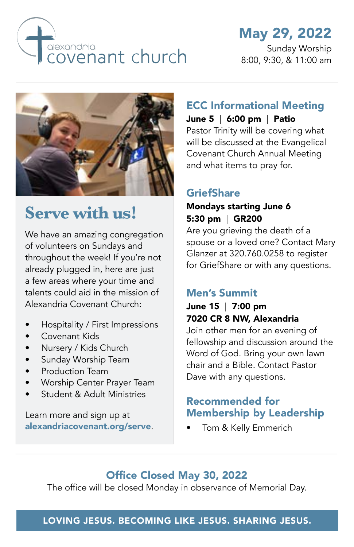

# May 29, 2022

Sunday Worship 8:00, 9:30, & 11:00 am



# **Serve with us!**

We have an amazing congregation of volunteers on Sundays and throughout the week! If you're not already plugged in, here are just a few areas where your time and talents could aid in the mission of Alexandria Covenant Church:

- Hospitality / First Impressions
- Covenant Kids
- Nursery / Kids Church
- Sunday Worship Team
- Production Team
- Worship Center Prayer Team
- Student & Adult Ministries

Learn more and sign up at [alexandriacovenant.org/serve](https://alexandriacovenant.org/serve/).

#### ECC Informational Meeting June 5 | 6:00 pm | Patio

Pastor Trinity will be covering what will be discussed at the Evangelical

Covenant Church Annual Meeting and what items to pray for.

#### **GriefShare**

#### Mondays starting June 6 5:30 pm | GR200

Are you grieving the death of a spouse or a loved one? Contact Mary Glanzer at 320.760.0258 to register for GriefShare or with any questions.

### Men's Summit

### June 15 | 7:00 pm 7020 CR 8 NW, Alexandria

Join other men for an evening of fellowship and discussion around the Word of God. Bring your own lawn chair and a Bible. Contact Pastor Dave with any questions.

### Recommended for Membership by Leadership

• Tom & Kelly Emmerich

### Office Closed May 30, 2022

The office will be closed Monday in observance of Memorial Day.

#### LOVING JESUS. BECOMING LIKE JESUS. SHARING JESUS.